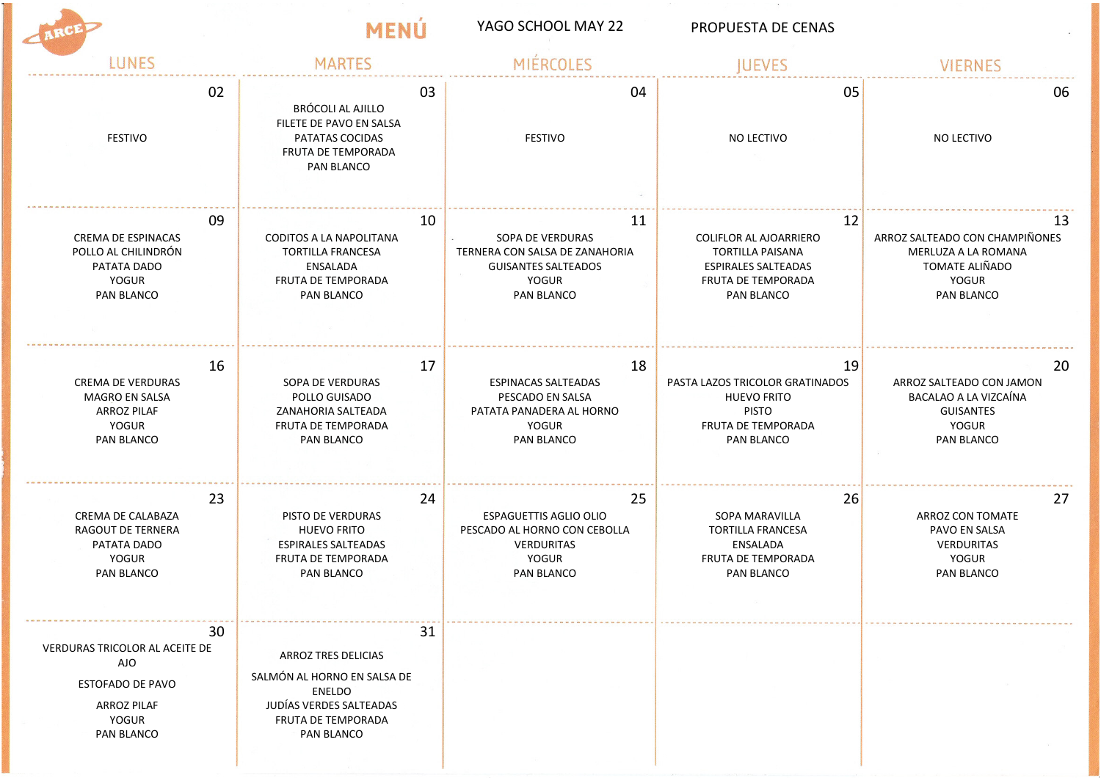| YAGO SCHOOL MAY 22 | PROPUESTA DE CENAS |
|--------------------|--------------------|
|                    |                    |

 $\mathcal{M}=\mathbb{R}^n$  .

MENÚ

| LUNES                                                                                                        | <b>MARTES</b>                                                                                                                     | MIFROQIES                      | <b>IUEVES</b>                   | <b>VIERNES</b>                 |
|--------------------------------------------------------------------------------------------------------------|-----------------------------------------------------------------------------------------------------------------------------------|--------------------------------|---------------------------------|--------------------------------|
| 02<br><b>FESTIVO</b>                                                                                         | 03<br>BRÓCOLI AL AJILLO<br>FILETE DE PAVO EN SALSA<br>PATATAS COCIDAS<br>FRUTA DE TEMPORADA<br>PAN BLANCO                         | 04<br><b>FESTIVO</b>           | 05<br>NO LECTIVO                | 06<br>NO LECTIVO               |
| 09                                                                                                           | 10                                                                                                                                | 11                             | 12                              | 13                             |
| <b>CREMA DE ESPINACAS</b>                                                                                    | <b>CODITOS A LA NAPOLITANA</b>                                                                                                    | SOPA DE VERDURAS               | <b>COLIFLOR AL AJOARRIERO</b>   | ARROZ SALTEADO CON CHAMPIÑONES |
| POLLO AL CHILINDRÓN                                                                                          | <b>TORTILLA FRANCESA</b>                                                                                                          | TERNERA CON SALSA DE ZANAHORIA | <b>TORTILLA PAISANA</b>         | MERLUZA A LA ROMANA            |
| PATATA DADO                                                                                                  | ENSALADA                                                                                                                          | <b>GUISANTES SALTEADOS</b>     | <b>ESPIRALES SALTEADAS</b>      | TOMATE ALIÑADO                 |
| <b>YOGUR</b>                                                                                                 | FRUTA DE TEMPORADA                                                                                                                | <b>YOGUR</b>                   | FRUTA DE TEMPORADA              | <b>YOGUR</b>                   |
| PAN BLANCO                                                                                                   | PAN BLANCO                                                                                                                        | <b>PAN BLANCO</b>              | <b>PAN BLANCO</b>               | <b>PAN BLANCO</b>              |
| 16                                                                                                           | 17                                                                                                                                | 18                             | 19                              | 20                             |
| <b>CREMA DE VERDURAS</b>                                                                                     | SOPA DE VERDURAS                                                                                                                  | <b>ESPINACAS SALTEADAS</b>     | PASTA LAZOS TRICOLOR GRATINADOS | ARROZ SALTEADO CON JAMON       |
| <b>MAGRO EN SALSA</b>                                                                                        | POLLO GUISADO                                                                                                                     | PESCADO EN SALSA               | <b>HUEVO FRITO</b>              | BACALAO A LA VIZCAÍNA          |
| <b>ARROZ PILAF</b>                                                                                           | ZANAHORIA SALTEADA                                                                                                                | PATATA PANADERA AL HORNO       | <b>PISTO</b>                    | <b>GUISANTES</b>               |
| <b>YOGUR</b>                                                                                                 | FRUTA DE TEMPORADA                                                                                                                | YOGUR                          | FRUTA DE TEMPORADA              | <b>YOGUR</b>                   |
| PAN BLANCO                                                                                                   | PAN BLANCO                                                                                                                        | PAN BLANCO                     | PAN BLANCO                      | PAN BLANCO                     |
| 23                                                                                                           | 24                                                                                                                                | 25                             | 26                              | 27                             |
| CREMA DE CALABAZA                                                                                            | PISTO DE VERDURAS                                                                                                                 | <b>ESPAGUETTIS AGLIO OLIO</b>  | SOPA MARAVILLA                  | <b>ARROZ CON TOMATE</b>        |
| RAGOUT DE TERNERA                                                                                            | <b>HUEVO FRITO</b>                                                                                                                | PESCADO AL HORNO CON CEBOLLA   | <b>TORTILLA FRANCESA</b>        | PAVO EN SALSA                  |
| PATATA DADO                                                                                                  | <b>ESPIRALES SALTEADAS</b>                                                                                                        | <b>VERDURITAS</b>              | ENSALADA                        | <b>VERDURITAS</b>              |
| <b>YOGUR</b>                                                                                                 | FRUTA DE TEMPORADA                                                                                                                | YOGUR                          | FRUTA DE TEMPORADA              | <b>YOGUR</b>                   |
| PAN BLANCO                                                                                                   | PAN BLANCO                                                                                                                        | <b>PAN BLANCO</b>              | PAN BLANCO                      | <b>PAN BLANCO</b>              |
| 30<br>VERDURAS TRICOLOR AL ACEITE DE<br>AJO<br>ESTOFADO DE PAVO<br><b>ARROZ PILAF</b><br>YOGUR<br>PAN BLANCO | 31<br>ARROZ TRES DELICIAS<br>SALMÓN AL HORNO EN SALSA DE<br>ENELDO<br>JUDÍAS VERDES SALTEADAS<br>FRUTA DE TEMPORADA<br>PAN BLANCO |                                |                                 |                                |